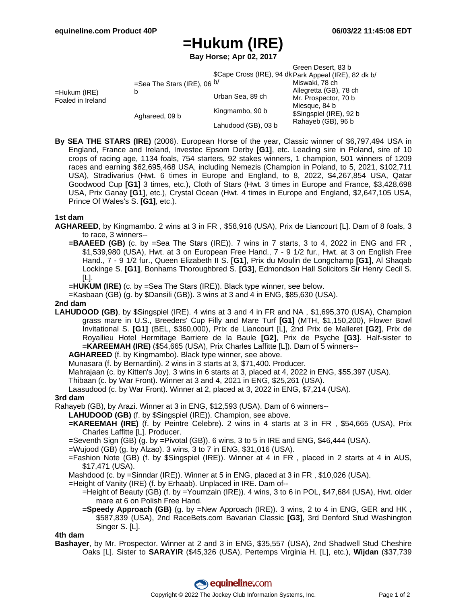# **=Hukum (IRE)**

**Bay Horse; Apr 02, 2017**

|                                   |                                             |                     | Green Desert, 83 b                                    |  |
|-----------------------------------|---------------------------------------------|---------------------|-------------------------------------------------------|--|
|                                   |                                             |                     | \$Cape Cross (IRE), 94 dk Park Appeal (IRE), 82 dk b/ |  |
| =Hukum (IRE)<br>Foaled in Ireland | =Sea The Stars (IRE), 06 <sup>b/</sup><br>b |                     | Miswaki, 78 ch                                        |  |
|                                   |                                             | Urban Sea, 89 ch    | Allegretta (GB), 78 ch                                |  |
|                                   |                                             |                     | Mr. Prospector, 70 b                                  |  |
|                                   | Aghareed, 09 b                              | Kingmambo, 90 b     | Miesque, 84 b                                         |  |
|                                   |                                             |                     | \$Singspiel (IRE), 92 b                               |  |
|                                   |                                             | Lahudood (GB), 03 b | Rahayeb (GB), 96 b                                    |  |

**By SEA THE STARS (IRE)** (2006). European Horse of the year, Classic winner of \$6,797,494 USA in England, France and Ireland, Investec Epsom Derby **[G1]**, etc. Leading sire in Poland, sire of 10 crops of racing age, 1134 foals, 754 starters, 92 stakes winners, 1 champion, 501 winners of 1209 races and earning \$62,695,468 USA, including Nemezis (Champion in Poland, to 5, 2021, \$102,711 USA), Stradivarius (Hwt. 6 times in Europe and England, to 8, 2022, \$4,267,854 USA, Qatar Goodwood Cup **[G1]** 3 times, etc.), Cloth of Stars (Hwt. 3 times in Europe and France, \$3,428,698 USA, Prix Ganay **[G1]**, etc.), Crystal Ocean (Hwt. 4 times in Europe and England, \$2,647,105 USA, Prince Of Wales's S. **[G1]**, etc.).

### **1st dam**

- **AGHAREED**, by Kingmambo. 2 wins at 3 in FR , \$58,916 (USA), Prix de Liancourt [L]. Dam of 8 foals, 3 to race, 3 winners--
	- **=BAAEED (GB)** (c. by =Sea The Stars (IRE)). 7 wins in 7 starts, 3 to 4, 2022 in ENG and FR, \$1,539,980 (USA), Hwt. at 3 on European Free Hand., 7 - 9 1/2 fur., Hwt. at 3 on English Free Hand., 7 - 9 1/2 fur., Queen Elizabeth II S. **[G1]**, Prix du Moulin de Longchamp **[G1]**, Al Shaqab Lockinge S. **[G1]**, Bonhams Thoroughbred S. **[G3]**, Edmondson Hall Solicitors Sir Henry Cecil S. [L].
	- **=HUKUM (IRE)** (c. by =Sea The Stars (IRE)). Black type winner, see below.

=Kasbaan (GB) (g. by \$Dansili (GB)). 3 wins at 3 and 4 in ENG, \$85,630 (USA).

#### **2nd dam**

**LAHUDOOD (GB)**, by \$Singspiel (IRE). 4 wins at 3 and 4 in FR and NA , \$1,695,370 (USA), Champion grass mare in U.S., Breeders' Cup Filly and Mare Turf **[G1]** (MTH, \$1,150,200), Flower Bowl Invitational S. **[G1]** (BEL, \$360,000), Prix de Liancourt [L], 2nd Prix de Malleret **[G2]**, Prix de Royallieu Hotel Hermitage Barriere de la Baule **[G2]**, Prix de Psyche **[G3]**. Half-sister to **=KAREEMAH (IRE)** (\$54,665 (USA), Prix Charles Laffitte [L]). Dam of 5 winners--

**AGHAREED** (f. by Kingmambo). Black type winner, see above.

Munasara (f. by Bernardini). 2 wins in 3 starts at 3, \$71,400. Producer.

Mahrajaan (c. by Kitten's Joy). 3 wins in 6 starts at 3, placed at 4, 2022 in ENG, \$55,397 (USA).

Thibaan (c. by War Front). Winner at 3 and 4, 2021 in ENG, \$25,261 (USA).

Laasudood (c. by War Front). Winner at 2, placed at 3, 2022 in ENG, \$7,214 (USA).

#### **3rd dam**

Rahayeb (GB), by Arazi. Winner at 3 in ENG, \$12,593 (USA). Dam of 6 winners--

**LAHUDOOD (GB)** (f. by \$Singspiel (IRE)). Champion, see above.

**=KAREEMAH (IRE)** (f. by Peintre Celebre). 2 wins in 4 starts at 3 in FR , \$54,665 (USA), Prix Charles Laffitte [L]. Producer.

=Seventh Sign (GB) (g. by =Pivotal (GB)). 6 wins, 3 to 5 in IRE and ENG, \$46,444 (USA).

- =Wujood (GB) (g. by Alzao). 3 wins, 3 to 7 in ENG, \$31,016 (USA).
- =Fashion Note (GB) (f. by \$Singspiel (IRE)). Winner at 4 in FR , placed in 2 starts at 4 in AUS, \$17,471 (USA).

Mashdood (c. by =Sinndar (IRE)). Winner at 5 in ENG, placed at 3 in FR , \$10,026 (USA).

- =Height of Vanity (IRE) (f. by Erhaab). Unplaced in IRE. Dam of--
	- =Height of Beauty (GB) (f. by =Youmzain (IRE)). 4 wins, 3 to 6 in POL, \$47,684 (USA), Hwt. older mare at 6 on Polish Free Hand.
	- **=Speedy Approach (GB)** (g. by =New Approach (IRE)). 3 wins, 2 to 4 in ENG, GER and HK , \$587,839 (USA), 2nd RaceBets.com Bavarian Classic **[G3]**, 3rd Denford Stud Washington Singer S. [L].

#### **4th dam**

**Bashayer**, by Mr. Prospector. Winner at 2 and 3 in ENG, \$35,557 (USA), 2nd Shadwell Stud Cheshire Oaks [L]. Sister to **SARAYIR** (\$45,326 (USA), Pertemps Virginia H. [L], etc.), **Wijdan** (\$37,739